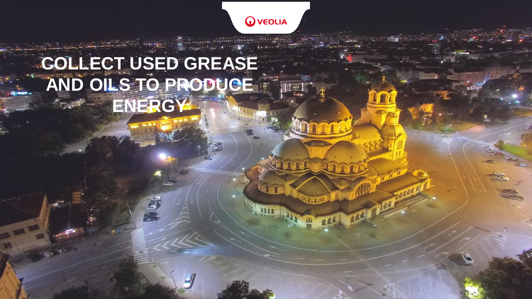**Q** VEOLIA

manne

## **[COLLECT USED GREASE](http://www.google.bg/url?sa=i&rct=j&q=&esrc=s&source=images&cd=&cad=rja&uact=8&ved=0ahUKEwjLic-V-NDUAhWGWBQKHTP5DakQjRwIBw&url=http://www.otnebeto.com/2015/06/2015_9.html&psig=AFQjCNHIT9qXChp-7S-LvrUuwz6inJGnlQ&ust=1498203218384465)  AND OILS TO PRODUCE ENERGY**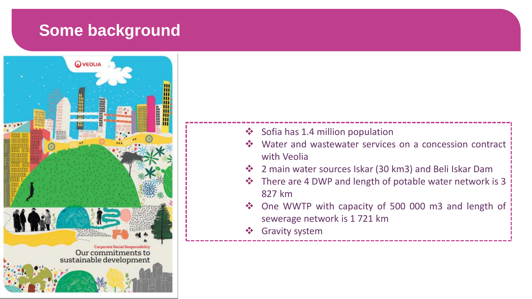## **Some background**



- ❖ Sofia has 1.4 million population
- ❖ Water and wastewater services on a concession contract with Veolia
- ❖ 2 main water sources Iskar (30 km3) and Beli Iskar Dam
- ❖ There are 4 DWP and length of potable water network is 3 827 km
- ❖ One WWTP with capacity of 500 000 m3 and length of sewerage network is 1 721 km
- Gravity system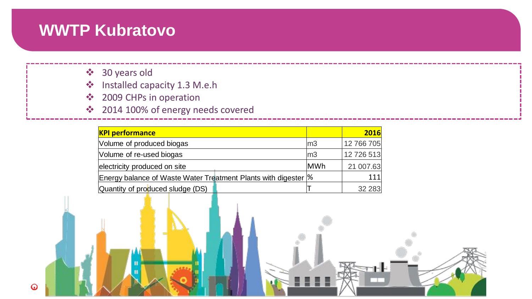## **WWTP Kubratovo**

- ❖ 30 years old
- ❖ Installed capacity 1.3 M.e.h
- ❖ 2009 CHPs in operation
- ❖ 2014 100% of energy needs covered

| <b>KPI performance</b>                                          |  |            | 2016       |
|-----------------------------------------------------------------|--|------------|------------|
| Volume of produced biogas                                       |  | lm3        | 12 766 705 |
| Volume of re-used biogas                                        |  | lm3        | 12 726 513 |
| electricity produced on site                                    |  | <b>MWh</b> | 21 007.63  |
| Energy balance of Waste Water Treatment Plants with digester  % |  |            | 111        |
| Quantity of produced sludge (DS)                                |  |            | 32 2 8 3   |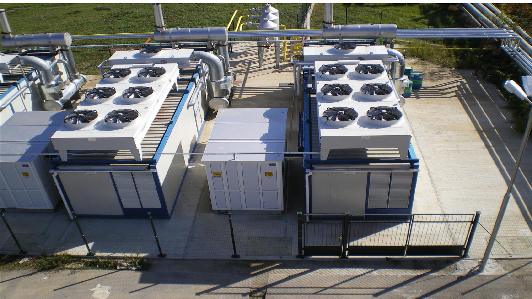